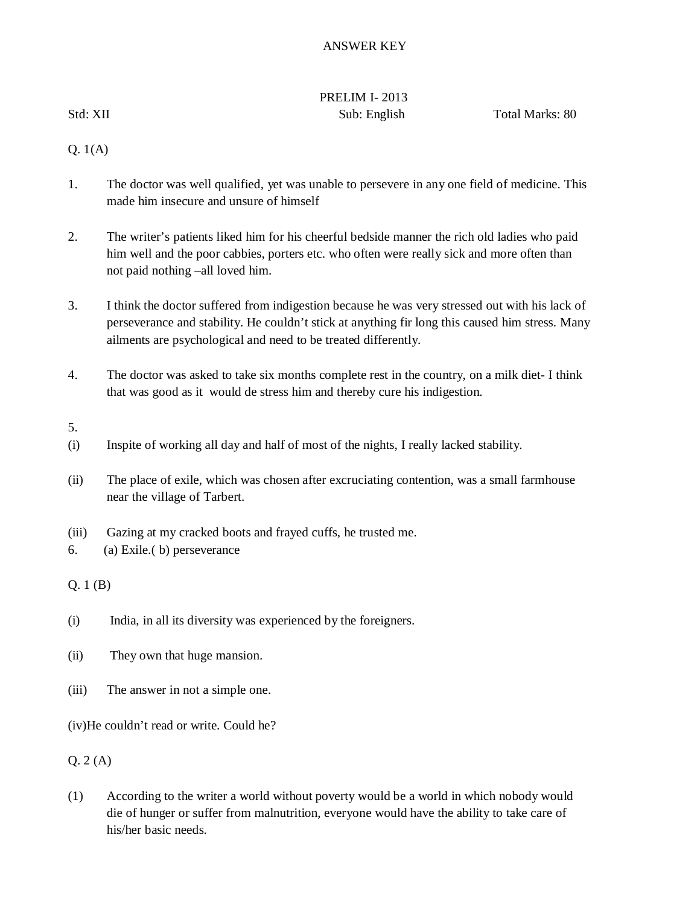# ANSWER KEY

# PRELIM I- 2013

Std: XII Sub: English Total Marks: 80

Q. 1(A)

- 1. The doctor was well qualified, yet was unable to persevere in any one field of medicine. This made him insecure and unsure of himself
- 2. The writer's patients liked him for his cheerful bedside manner the rich old ladies who paid him well and the poor cabbies, porters etc. who often were really sick and more often than not paid nothing –all loved him.
- 3. I think the doctor suffered from indigestion because he was very stressed out with his lack of perseverance and stability. He couldn't stick at anything fir long this caused him stress. Many ailments are psychological and need to be treated differently.
- 4. The doctor was asked to take six months complete rest in the country, on a milk diet- I think that was good as it would de stress him and thereby cure his indigestion.
- 5.
- (i) Inspite of working all day and half of most of the nights, I really lacked stability.
- (ii) The place of exile, which was chosen after excruciating contention, was a small farmhouse near the village of Tarbert.
- (iii) Gazing at my cracked boots and frayed cuffs, he trusted me.
- 6. (a) Exile.( b) perseverance

Q. 1 (B)

- (i) India, in all its diversity was experienced by the foreigners.
- (ii) They own that huge mansion.
- (iii) The answer in not a simple one.
- (iv)He couldn't read or write. Could he?

(1) According to the writer a world without poverty would be a world in which nobody would die of hunger or suffer from malnutrition, everyone would have the ability to take care of his/her basic needs.

Q. 2 (A)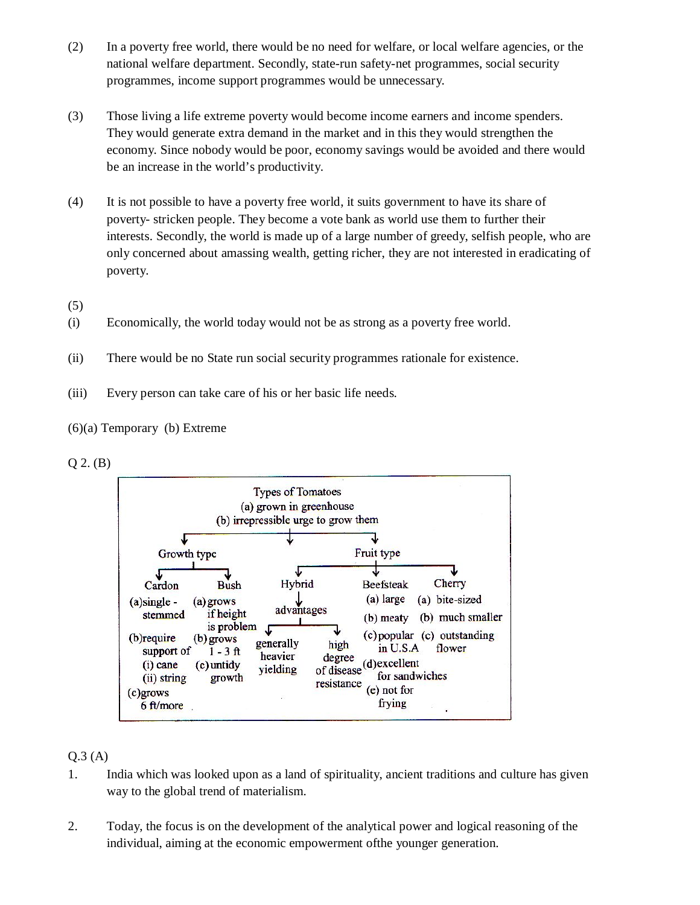- (2) In a poverty free world, there would be no need for welfare, or local welfare agencies, or the national welfare department. Secondly, state-run safety-net programmes, social security programmes, income support programmes would be unnecessary.
- (3) Those living a life extreme poverty would become income earners and income spenders. They would generate extra demand in the market and in this they would strengthen the economy. Since nobody would be poor, economy savings would be avoided and there would be an increase in the world's productivity.
- (4) It is not possible to have a poverty free world, it suits government to have its share of poverty- stricken people. They become a vote bank as world use them to further their interests. Secondly, the world is made up of a large number of greedy, selfish people, who are only concerned about amassing wealth, getting richer, they are not interested in eradicating of poverty.
- (5)
- (i) Economically, the world today would not be as strong as a poverty free world.
- (ii) There would be no State run social security programmes rationale for existence.
- (iii) Every person can take care of his or her basic life needs.



### Q 2. (B)



## $0.3(A)$

- 1. India which was looked upon as a land of spirituality, ancient traditions and culture has given way to the global trend of materialism.
- 2. Today, the focus is on the development of the analytical power and logical reasoning of the individual, aiming at the economic empowerment ofthe younger generation.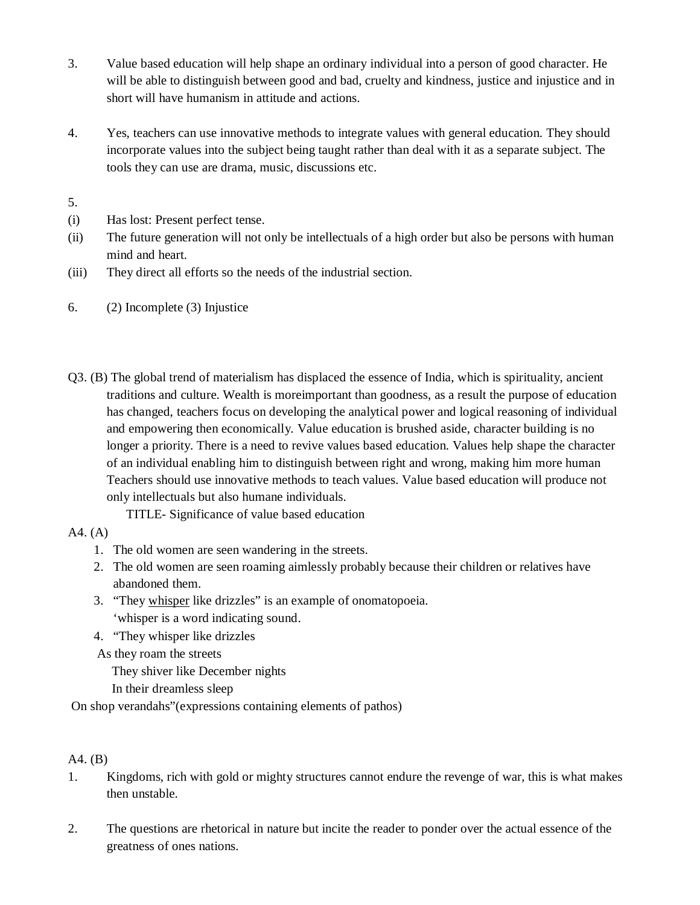- 3. Value based education will help shape an ordinary individual into a person of good character. He will be able to distinguish between good and bad, cruelty and kindness, justice and injustice and in short will have humanism in attitude and actions.
- 4. Yes, teachers can use innovative methods to integrate values with general education. They should incorporate values into the subject being taught rather than deal with it as a separate subject. The tools they can use are drama, music, discussions etc.

5.

- (i) Has lost: Present perfect tense.
- (ii) The future generation will not only be intellectuals of a high order but also be persons with human mind and heart.
- (iii) They direct all efforts so the needs of the industrial section.
- 6. (2) Incomplete (3) Injustice
- Q3. (B) The global trend of materialism has displaced the essence of India, which is spirituality, ancient traditions and culture. Wealth is moreimportant than goodness, as a result the purpose of education has changed, teachers focus on developing the analytical power and logical reasoning of individual and empowering then economically. Value education is brushed aside, character building is no longer a priority. There is a need to revive values based education. Values help shape the character of an individual enabling him to distinguish between right and wrong, making him more human Teachers should use innovative methods to teach values. Value based education will produce not only intellectuals but also humane individuals.

TITLE- Significance of value based education

### A4. (A)

- 1. The old women are seen wandering in the streets.
- 2. The old women are seen roaming aimlessly probably because their children or relatives have abandoned them.
- 3. "They whisper like drizzles" is an example of onomatopoeia. 'whisper is a word indicating sound.
- 4. "They whisper like drizzles
- As they roam the streets

They shiver like December nights

In their dreamless sleep

On shop verandahs"(expressions containing elements of pathos)

# A4. (B)

- 1. Kingdoms, rich with gold or mighty structures cannot endure the revenge of war, this is what makes then unstable.
- 2. The questions are rhetorical in nature but incite the reader to ponder over the actual essence of the greatness of ones nations.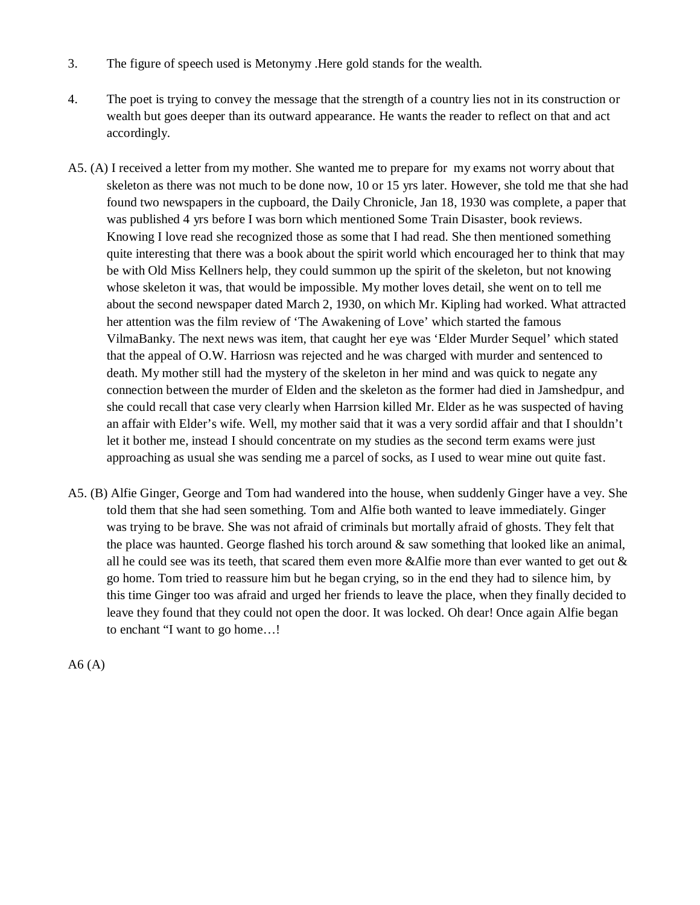- 3. The figure of speech used is Metonymy .Here gold stands for the wealth.
- 4. The poet is trying to convey the message that the strength of a country lies not in its construction or wealth but goes deeper than its outward appearance. He wants the reader to reflect on that and act accordingly.
- A5. (A) I received a letter from my mother. She wanted me to prepare for my exams not worry about that skeleton as there was not much to be done now, 10 or 15 yrs later. However, she told me that she had found two newspapers in the cupboard, the Daily Chronicle, Jan 18, 1930 was complete, a paper that was published 4 yrs before I was born which mentioned Some Train Disaster, book reviews. Knowing I love read she recognized those as some that I had read. She then mentioned something quite interesting that there was a book about the spirit world which encouraged her to think that may be with Old Miss Kellners help, they could summon up the spirit of the skeleton, but not knowing whose skeleton it was, that would be impossible. My mother loves detail, she went on to tell me about the second newspaper dated March 2, 1930, on which Mr. Kipling had worked. What attracted her attention was the film review of 'The Awakening of Love' which started the famous VilmaBanky. The next news was item, that caught her eye was 'Elder Murder Sequel' which stated that the appeal of O.W. Harriosn was rejected and he was charged with murder and sentenced to death. My mother still had the mystery of the skeleton in her mind and was quick to negate any connection between the murder of Elden and the skeleton as the former had died in Jamshedpur, and she could recall that case very clearly when Harrsion killed Mr. Elder as he was suspected of having an affair with Elder's wife. Well, my mother said that it was a very sordid affair and that I shouldn't let it bother me, instead I should concentrate on my studies as the second term exams were just approaching as usual she was sending me a parcel of socks, as I used to wear mine out quite fast.
- A5. (B) Alfie Ginger, George and Tom had wandered into the house, when suddenly Ginger have a vey. She told them that she had seen something. Tom and Alfie both wanted to leave immediately. Ginger was trying to be brave. She was not afraid of criminals but mortally afraid of ghosts. They felt that the place was haunted. George flashed his torch around  $\&$  saw something that looked like an animal, all he could see was its teeth, that scared them even more &Alfie more than ever wanted to get out  $\&$ go home. Tom tried to reassure him but he began crying, so in the end they had to silence him, by this time Ginger too was afraid and urged her friends to leave the place, when they finally decided to leave they found that they could not open the door. It was locked. Oh dear! Once again Alfie began to enchant "I want to go home…!

 $A6(A)$